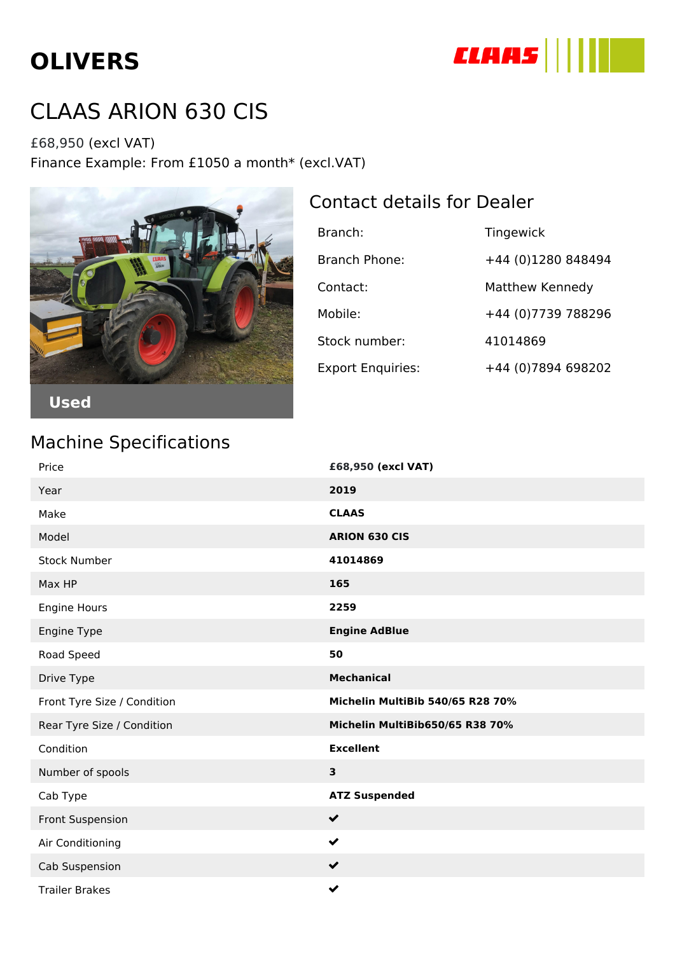# **OLIVERS**



## CLAAS ARION 630 CIS

£68,950 (excl VAT) Finance Example: From £1050 a month\* (excl.VAT)



#### Contact details for Dealer

| Branch:                  | Tingewick           |
|--------------------------|---------------------|
| Branch Phone:            | +44 (0)1280 848494  |
| Contact:                 | Matthew Kennedy     |
| Mobile:                  | +44 (0) 7739 788296 |
| Stock number:            | 41014869            |
| <b>Export Enquiries:</b> | +44 (0) 7894 698202 |

#### Machine Specifications

| Price                       | £68,950 (excl VAT)               |
|-----------------------------|----------------------------------|
| Year                        | 2019                             |
| Make                        | <b>CLAAS</b>                     |
| Model                       | <b>ARION 630 CIS</b>             |
| <b>Stock Number</b>         | 41014869                         |
| Max HP                      | 165                              |
| Engine Hours                | 2259                             |
| Engine Type                 | <b>Engine AdBlue</b>             |
| Road Speed                  | 50                               |
| Drive Type                  | <b>Mechanical</b>                |
| Front Tyre Size / Condition | Michelin MultiBib 540/65 R28 70% |
| Rear Tyre Size / Condition  | Michelin MultiBib650/65 R38 70%  |
| Condition                   | <b>Excellent</b>                 |
| Number of spools            | $\overline{\mathbf{3}}$          |
| Cab Type                    | <b>ATZ Suspended</b>             |
| <b>Front Suspension</b>     | $\checkmark$                     |
| Air Conditioning            | $\checkmark$                     |
| Cab Suspension              | $\checkmark$                     |
| <b>Trailer Brakes</b>       | $\checkmark$                     |